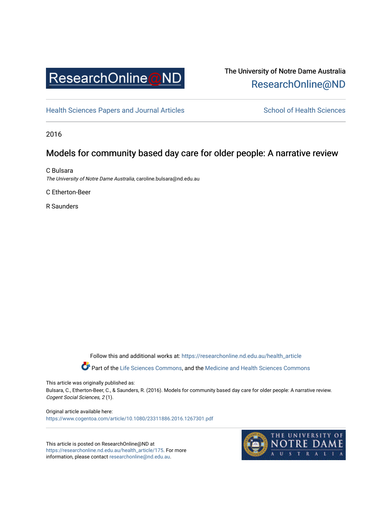

# The University of Notre Dame Australia [ResearchOnline@ND](https://researchonline.nd.edu.au/)

[Health Sciences Papers and Journal Articles](https://researchonline.nd.edu.au/health_article) School of Health Sciences

2016

# Models for community based day care for older people: A narrative review

C Bulsara The University of Notre Dame Australia, caroline.bulsara@nd.edu.au

C Etherton-Beer

R Saunders

Follow this and additional works at: [https://researchonline.nd.edu.au/health\\_article](https://researchonline.nd.edu.au/health_article?utm_source=researchonline.nd.edu.au%2Fhealth_article%2F175&utm_medium=PDF&utm_campaign=PDFCoverPages)

Part of the [Life Sciences Commons](http://network.bepress.com/hgg/discipline/1016?utm_source=researchonline.nd.edu.au%2Fhealth_article%2F175&utm_medium=PDF&utm_campaign=PDFCoverPages), and the Medicine and Health Sciences Commons

This article was originally published as:

Bulsara, C., Etherton-Beer, C., & Saunders, R. (2016). Models for community based day care for older people: A narrative review. Cogent Social Sciences, 2 (1).

Original article available here: <https://www.cogentoa.com/article/10.1080/23311886.2016.1267301.pdf>

This article is posted on ResearchOnline@ND at [https://researchonline.nd.edu.au/health\\_article/175](https://researchonline.nd.edu.au/health_article/175). For more information, please contact [researchonline@nd.edu.au.](mailto:researchonline@nd.edu.au)

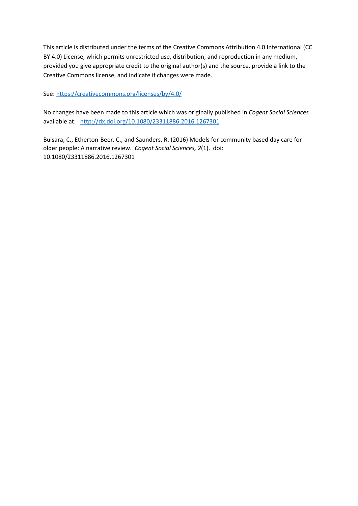This article is distributed under the terms of the Creative Commons Attribution 4.0 International (CC BY 4.0) License, which permits unrestricted use, distribution, and reproduction in any medium, provided you give appropriate credit to the original author(s) and the source, provide a link to the Creative Commons license, and indicate if changes were made.

See: <https://creativecommons.org/licenses/by/4.0/>

No changes have been made to this article which was originally published in *Cogent Social Sciences* available at: <http://dx.doi.org/10.1080/23311886.2016.1267301>

Bulsara, C., Etherton-Beer. C., and Saunders, R. (2016) Models for community based day care for older people: A narrative review. *Cogent Social Sciences, 2*(1). doi: 10.1080/23311886.2016.1267301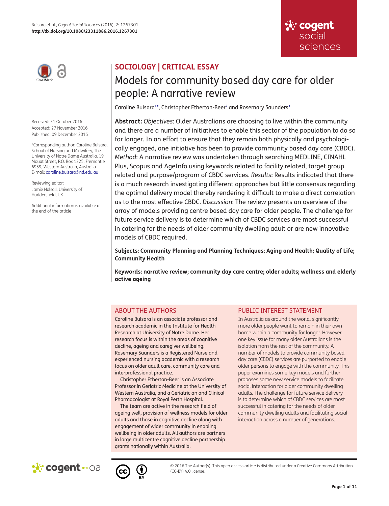

Received: 31 October 2016 Accepted: 27 November 2016 Published: 09 December 2016

<span id="page-2-0"></span>\*Corresponding author: Caroline Bulsara, School of Nursing and Midwifery, The University of Notre Dame Australia, 19 Mouat Street, P.O. Box 1225, Fremantle 6959, Western Australia, Australia E-mail: [caroline.bulsara@nd.edu.au](mailto:caroline.bulsara@nd.edu.au)

Reviewing editor: Jamie Halsall, University of Huddersfield, UK

Additional information is available at the end of the article

# **SOCIOLOGY | CRITICAL ESSAY** Models for community based day care for older people: A narrative review

<span id="page-2-1"></span>Caroline Bulsar[a1](#page-9-0)[\\*,](#page-2-0) Christopher Etherton-Beer<sup>[2](#page-9-1)</sup> and Rosemary Saunders<sup>[3](#page-9-2)</sup>

**Abstract:** *Objectives*: Older Australians are choosing to live within the community and there are a number of initiatives to enable this sector of the population to do so for longer. In an effort to ensure that they remain both physically and psychologically engaged, one initiative has been to provide community based day care (CBDC). *Method*: A narrative review was undertaken through searching MEDLINE, CINAHL Plus, Scopus and AgeInfo using keywords related to facility related, target group related and purpose/program of CBDC services. *Results*: Results indicated that there is a much research investigating different approaches but little consensus regarding the optimal delivery model thereby rendering it difficult to make a direct correlation as to the most effective CBDC. *Discussion*: The review presents an overview of the array of models providing centre based day care for older people. The challenge for future service delivery is to determine which of CBDC services are most successful in catering for the needs of older community dwelling adult or are new innovative models of CBDC required.

**Subjects: Community Planning and Planning Techniques; Aging and Health; Quality of Life; Community Health**

**Keywords: narrative review; community day care centre; older adults; wellness and elderly active ageing**

# ABOUT THE AUTHORS

Caroline Bulsara is an associate professor and research academic in the Institute for Health Research at University of Notre Dame. Her research focus is within the areas of cognitive decline, ageing and caregiver wellbeing. Rosemary Saunders is a Registered Nurse and experienced nursing academic with a research focus on older adult care, community care and interprofessional practice.

Christopher Etherton-Beer is an Associate Professor in Geriatric Medicine at the University of Western Australia, and a Geriatrician and Clinical Pharmacologist at Royal Perth Hospital.

The team are active in the research field of ageing well, provision of wellness models for older adults and those in cognitive decline along with engagement of wider community in enabling wellbeing in older adults. All authors are partners in large multicentre cognitive decline partnership grants nationally within Australia.

## PUBLIC INTEREST STATEMENT

In Australia as around the world, significantly more older people want to remain in their own home within a community for longer. However, one key issue for many older Australians is the isolation from the rest of the community. A number of models to provide community based day care (CBDC) services are purported to enable older persons to engage with the community. This paper examines some key models and further proposes some new service models to facilitate social interaction for older community dwelling adults. The challenge for future service delivery is to determine which of CBDC services are most successful in catering for the needs of older community dwelling adults and facilitating social interaction across a number of generations.

☆ cogent social

sciences





© 2016 The Author(s). This open access article is distributed under a Creative Commons Attribution (CC-BY) 4.0 license.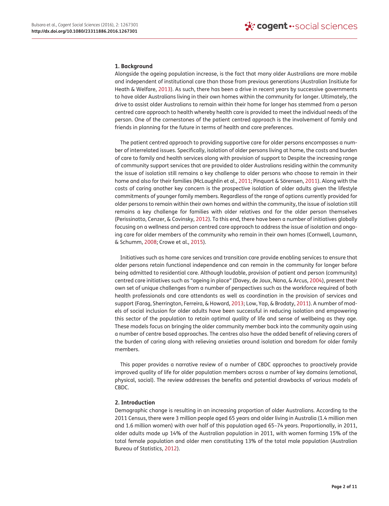#### **1. Background**

<span id="page-3-1"></span>Alongside the ageing population increase, is the fact that many older Australians are more mobile and independent of institutional care than those from previous generations (Australian Insitiute for Heath & Welfare, [2013](#page-9-3)). As such, there has been a drive in recent years by successive governments to have older Australians living in their own homes within the community for longer. Ultimately, the drive to assist older Australians to remain within their home for longer has stemmed from a person centred care approach to health whereby health care is provided to meet the individual needs of the person. One of the cornerstones of the patient centred approach is the involvement of family and friends in planning for the future in terms of health and care preferences.

<span id="page-3-9"></span><span id="page-3-7"></span>The patient centred approach to providing supportive care for older persons encompasses a number of interrelated issues. Specifically, isolation of older persons living at home, the costs and burden of care to family and health services along with provision of support to Despite the increasing range of community support services that are provided to older Australians residing within the community the issue of isolation still remains a key challenge to older persons who choose to remain in their home and also for their families (McLaughlin et al., [2011](#page-9-4); Pinquart & Sörensen, [2011\)](#page-9-5). Along with the costs of caring another key concern is the prospective isolation of older adults given the lifestyle commitments of younger family members. Regardless of the range of options currently provided for older persons to remain within their own homes and within the community, the issue of isolation still remains a key challenge for families with older relatives and for the older person themselves (Perissinotto, Cenzer, & Covinsky, [2012](#page-9-6)). To this end, there have been a number of initiatives globally focusing on a wellness and person centred care approach to address the issue of isolation and ongoing care for older members of the community who remain in their own homes (Cornwell, Laumann, & Schumm, [2008;](#page-9-7) Crowe et al., [2015](#page-9-8)).

<span id="page-3-8"></span><span id="page-3-6"></span><span id="page-3-5"></span><span id="page-3-4"></span><span id="page-3-3"></span><span id="page-3-2"></span>Initiatives such as home care services and transition care provide enabling services to ensure that older persons retain functional independence and can remain in the community for longer before being admitted to residential care. Although laudable, provision of patient and person (community) centred care initiatives such as "ageing in place" (Davey, de Joux, Nana, & Arcus, [2004\)](#page-9-9), present their own set of unique challenges from a number of perspectives such as the workforce required of both health professionals and care attendants as well as coordination in the provision of services and support (Farag, Sherrington, Ferreira, & Howard, [2013;](#page-9-10) Low, Yap, & Brodaty, [2011](#page-9-11)). A number of models of social inclusion for older adults have been successful in reducing isolation and empowering this sector of the population to retain optimal quality of life and sense of wellbeing as they age. These models focus on bringing the older community member back into the community again using a number of centre based approaches. The centres also have the added benefit of relieving carers of the burden of caring along with relieving anxieties around isolation and boredom for older family members.

This paper provides a narrative review of a number of CBDC approaches to proactively provide improved quality of life for older population members across a number of key domains (emotional, physical, social). The review addresses the benefits and potential drawbacks of various models of CBDC.

#### **2. Introduction**

<span id="page-3-0"></span>Demographic change is resulting in an increasing proportion of older Australians. According to the 2011 Census, there were 3 million people aged 65 years and older living in Australia (1.4 million men and 1.6 million women) with over half of this population aged 65–74 years. Proportionally, in 2011, older adults made up 14% of the Australian population in 2011, with women forming 15% of the total female population and older men constituting 13% of the total male population (Australian Bureau of Statistics, [2012](#page-9-12)).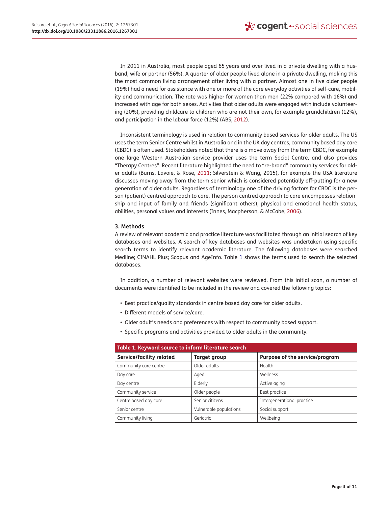In 2011 in Australia, most people aged 65 years and over lived in a private dwelling with a husband, wife or partner (56%). A quarter of older people lived alone in a private dwelling, making this the most common living arrangement after living with a partner. Almost one in five older people (19%) had a need for assistance with one or more of the core everyday activities of self-care, mobility and communication. The rate was higher for women than men (22% compared with 16%) and increased with age for both sexes. Activities that older adults were engaged with include volunteering (20%), providing childcare to children who are not their own, for example grandchildren (12%), and participation in the labour force (12%) (ABS, [2012\)](#page-9-12).

<span id="page-4-1"></span>Inconsistent terminology is used in relation to community based services for older adults. The US uses the term Senior Centre whilst in Australia and in the UK day centres, community based day care (CBDC) is often used. Stakeholders noted that there is a move away from the term CBDC, for example one large Western Australian service provider uses the term Social Centre, and also provides "Therapy Centres". Recent literature highlighted the need to "re-brand" community services for older adults (Burns, Lavoie, & Rose, [2011;](#page-9-13) Silverstein & Wang, 2015), for example the USA literature discusses moving away from the term senior which is considered potentially off-putting for a new generation of older adults. Regardless of terminology one of the driving factors for CBDC is the person (patient) centred approach to care. The person centred approach to care encompasses relationship and input of family and friends (significant others), physical and emotional health status, abilities, personal values and interests (Innes, Macpherson, & McCabe, [2006](#page-9-14)).

#### <span id="page-4-2"></span>**3. Methods**

A review of relevant academic and practice literature was facilitated through an initial search of key databases and websites. A search of key databases and websites was undertaken using specific search terms to identify relevant academic literature. The following databases were searched Medline; CINAHL Plus; Scopus and AgeInfo. Table [1](#page-4-0) shows the terms used to search the selected databases.

In addition, a number of relevant websites were reviewed. From this initial scan, a number of documents were identified to be included in the review and covered the following topics:

- Best practice/quality standards in centre based day care for older adults.
- Different models of service/care.
- Older adult's needs and preferences with respect to community based support.
- Specific programs and activities provided to older adults in the community.

<span id="page-4-0"></span>

| Table 1. Keyword source to inform literature search |                                |  |  |  |  |  |
|-----------------------------------------------------|--------------------------------|--|--|--|--|--|
| <b>Target group</b>                                 | Purpose of the service/program |  |  |  |  |  |
| Older adults                                        | Health                         |  |  |  |  |  |
| Aged                                                | Wellness                       |  |  |  |  |  |
| Elderly                                             | Active aging                   |  |  |  |  |  |
| Older people                                        | Best practice                  |  |  |  |  |  |
| Senior citizens                                     | Intergenerational practice     |  |  |  |  |  |
| Vulnerable populations                              | Social support                 |  |  |  |  |  |
| Geriatric                                           | Wellbeing                      |  |  |  |  |  |
|                                                     |                                |  |  |  |  |  |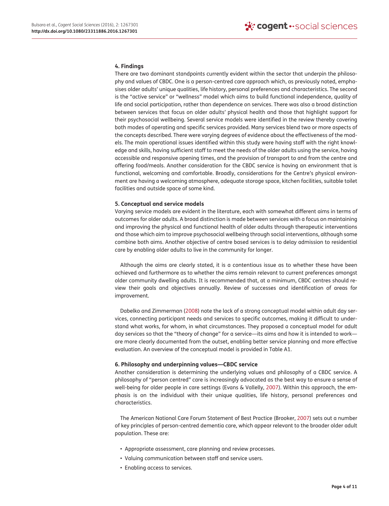#### **4. Findings**

There are two dominant standpoints currently evident within the sector that underpin the philosophy and values of CBDC. One is a person-centred care approach which, as previously noted, emphasises older adults' unique qualities, life history, personal preferences and characteristics. The second is the "active service" or "wellness" model which aims to build functional independence, quality of life and social participation, rather than dependence on services. There was also a broad distinction between services that focus on older adults' physical health and those that highlight support for their psychosocial wellbeing. Several service models were identified in the review thereby covering both modes of operating and specific services provided. Many services blend two or more aspects of the concepts described. There were varying degrees of evidence about the effectiveness of the models. The main operational issues identified within this study were having staff with the right knowledge and skills, having sufficient staff to meet the needs of the older adults using the service, having accessible and responsive opening times, and the provision of transport to and from the centre and offering food/meals. Another consideration for the CBDC service is having an environment that is functional, welcoming and comfortable. Broadly, considerations for the Centre's physical environment are having a welcoming atmosphere, adequate storage space, kitchen facilities, suitable toilet facilities and outside space of some kind.

#### **5. Conceptual and service models**

Varying service models are evident in the literature, each with somewhat different aims in terms of outcomes for older adults. A broad distinction is made between services with a focus on maintaining and improving the physical and functional health of older adults through therapeutic interventions and those which aim to improve psychosocial wellbeing through social interventions, although some combine both aims. Another objective of centre based services is to delay admission to residential care by enabling older adults to live in the community for longer.

Although the aims are clearly stated, it is a contentious issue as to whether these have been achieved and furthermore as to whether the aims remain relevant to current preferences amongst older community dwelling adults. It is recommended that, at a minimum, CBDC centres should review their goals and objectives annually. Review of successes and identification of areas for improvement.

<span id="page-5-1"></span>Dabelko and Zimmerman ([2008\)](#page-9-15) note the lack of a strong conceptual model within adult day services, connecting participant needs and services to specific outcomes, making it difficult to understand what works, for whom, in what circumstances. They proposed a conceptual model for adult day services so that the "theory of change" for a service—its aims and how it is intended to work are more clearly documented from the outset, enabling better service planning and more effective evaluation. An overview of the conceptual model is provided in Table A1.

#### **6. Philosophy and underpinning values—CBDC service**

<span id="page-5-2"></span>Another consideration is determining the underlying values and philosophy of a CBDC service. A philosophy of "person centred" care is increasingly advocated as the best way to ensure a sense of well-being for older people in care settings (Evans & Vallelly, [2007](#page-9-16)). Within this approach, the emphasis is on the individual with their unique qualities, life history, personal preferences and characteristics.

<span id="page-5-0"></span>The American National Care Forum Statement of Best Practice (Brooker, [2007\)](#page-9-17) sets out a number of key principles of person-centred dementia care, which appear relevant to the broader older adult population. These are:

- Appropriate assessment, care planning and review processes.
- Valuing communication between staff and service users.
- Enabling access to services.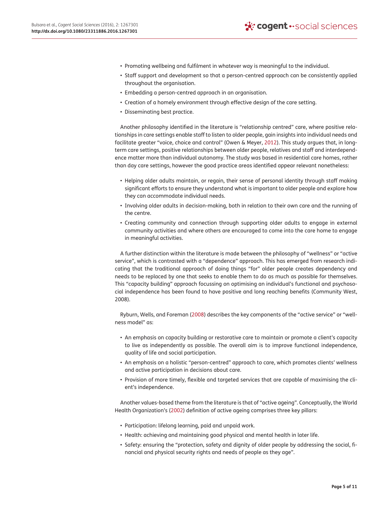- Promoting wellbeing and fulfilment in whatever way is meaningful to the individual.
- Staff support and development so that a person-centred approach can be consistently applied throughout the organisation.
- Embedding a person-centred approach in an organisation.
- Creation of a homely environment through effective design of the care setting.
- Disseminating best practice.

<span id="page-6-0"></span>Another philosophy identified in the literature is "relationship centred" care, where positive relationships in care settings enable staff to listen to older people, gain insights into individual needs and facilitate greater "voice, choice and control" (Owen & Meyer, [2012\)](#page-9-18). This study argues that, in longterm care settings, positive relationships between older people, relatives and staff and interdependence matter more than individual autonomy. The study was based in residential care homes, rather than day care settings, however the good practice areas identified appear relevant nonetheless:

- Helping older adults maintain, or regain, their sense of personal identity through staff making significant efforts to ensure they understand what is important to older people and explore how they can accommodate individual needs.
- Involving older adults in decision-making, both in relation to their own care and the running of the centre.
- Creating community and connection through supporting older adults to engage in external community activities and where others are encouraged to come into the care home to engage in meaningful activities.

A further distinction within the literature is made between the philosophy of "wellness" or "active service", which is contrasted with a "dependence" approach. This has emerged from research indicating that the traditional approach of doing things "for" older people creates dependency and needs to be replaced by one that seeks to enable them to do as much as possible for themselves. This "capacity building" approach focussing on optimising an individual's functional and psychosocial independence has been found to have positive and long reaching benefits (Community West, 2008).

<span id="page-6-1"></span>Ryburn, Wells, and Foreman [\(2008\)](#page-10-0) describes the key components of the "active service" or "wellness model" as:

- An emphasis on capacity building or restorative care to maintain or promote a client's capacity to live as independently as possible. The overall aim is to improve functional independence, quality of life and social participation.
- An emphasis on a holistic "person-centred" approach to care, which promotes clients' wellness and active participation in decisions about care.
- Provision of more timely, flexible and targeted services that are capable of maximising the client's independence.

<span id="page-6-2"></span>Another values-based theme from the literature is that of "active ageing". Conceptually, the World Health Organization's ([2002\)](#page-10-1) definition of active ageing comprises three key pillars:

- Participation: lifelong learning, paid and unpaid work.
- Health: achieving and maintaining good physical and mental health in later life.
- Safety: ensuring the "protection, safety and dignity of older people by addressing the social, financial and physical security rights and needs of people as they age".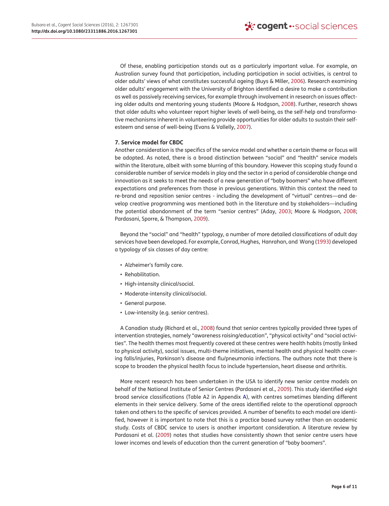<span id="page-7-3"></span><span id="page-7-1"></span>Of these, enabling participation stands out as a particularly important value. For example, an Australian survey found that participation, including participation in social activities, is central to older adults' views of what constitutes successful ageing (Buys & Miller, [2006](#page-9-19)). Research examining older adults' engagement with the University of Brighton identified a desire to make a contribution as well as passively receiving services, for example through involvement in research on issues affecting older adults and mentoring young students (Moore & Hodgson, [2008](#page-9-20)). Further, research shows that older adults who volunteer report higher levels of well-being, as the self-help and transformative mechanisms inherent in volunteering provide opportunities for older adults to sustain their selfesteem and sense of well-being (Evans & Vallelly, [2007](#page-9-16)).

#### **7. Service model for CBDC**

Another consideration is the specifics of the service model and whether a certain theme or focus will be adopted. As noted, there is a broad distinction between "social" and "health" service models within the literature, albeit with some blurring of this boundary. However this scoping study found a considerable number of service models in play and the sector in a period of considerable change and innovation as it seeks to meet the needs of a new generation of "baby boomers" who have different expectations and preferences from those in previous generations. Within this context the need to re-brand and reposition senior centres - including the development of "virtual" centres—and develop creative programming was mentioned both in the literature and by stakeholders—including the potential abandonment of the term "senior centres" (Aday, [2003](#page-9-21); Moore & Hodgson, [2008;](#page-9-20) Pardasani, Sporre, & Thompson, [2009](#page-9-22)).

<span id="page-7-4"></span><span id="page-7-2"></span><span id="page-7-0"></span>Beyond the "social" and "health" typology, a number of more detailed classifications of adult day services have been developed. For example, Conrad, Hughes, Hanrahan, and Wang ([1993\)](#page-9-23) developed a typology of six classes of day centre:

- Alzheimer's family care.
- Rehabilitation.
- High-intensity clinical/social.
- Moderate-intensity clinical/social.
- General purpose.
- Low-intensity (e.g. senior centres).

<span id="page-7-5"></span>A Canadian study (Richard et al., [2008\)](#page-10-2) found that senior centres typically provided three types of intervention strategies, namely "awareness raising/education", "physical activity" and "social activities". The health themes most frequently covered at these centres were health habits (mostly linked to physical activity), social issues, multi-theme initiatives, mental health and physical health covering falls/injuries, Parkinson's disease and flu/pneumonia infections. The authors note that there is scope to broaden the physical health focus to include hypertension, heart disease and arthritis.

More recent research has been undertaken in the USA to identify new senior centre models on behalf of the National Institute of Senior Centres (Pardasani et al., [2009](#page-9-22)). This study identified eight broad service classifications (Table A2 in Appendix [A](#page-10-3)), with centres sometimes blending different elements in their service delivery. Some of the areas identified relate to the operational approach taken and others to the specific of services provided. A number of benefits to each model are identified, however it is important to note that this is a practice based survey rather than an academic study. Costs of CBDC service to users is another important consideration. A literature review by Pardasani et al. ([2009\)](#page-9-22) notes that studies have consistently shown that senior centre users have lower incomes and levels of education than the current generation of "baby boomers".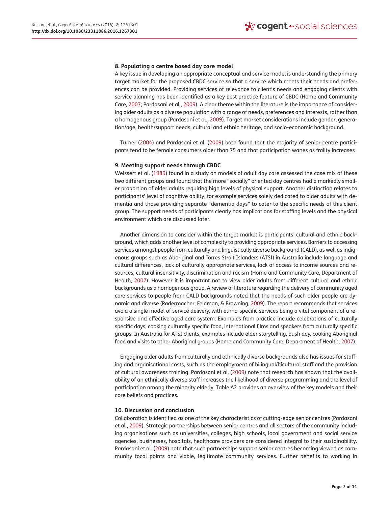#### **8. Populating a centre based day care model**

<span id="page-8-0"></span>A key issue in developing an appropriate conceptual and service model is understanding the primary target market for the proposed CBDC service so that a service which meets their needs and preferences can be provided. Providing services of relevance to client's needs and engaging clients with service planning has been identified as a key best practice feature of CBDC (Home and Community Care, [2007;](#page-9-24) Pardasani et al., [2009](#page-9-22)). A clear theme within the literature is the importance of considering older adults as a diverse population with a range of needs, preferences and interests, rather than a homogenous group (Pardasani et al., [2009](#page-9-22)). Target market considerations include gender, generation/age, health/support needs, cultural and ethnic heritage, and socio-economic background.

<span id="page-8-2"></span>Turner [\(2004\)](#page-10-4) and Pardasani et al. ([2009](#page-9-22)) both found that the majority of senior centre participants tend to be female consumers older than 75 and that participation wanes as frailty increases

#### **9. Meeting support needs through CBDC**

<span id="page-8-3"></span>Weissert et al. [\(1989](#page-10-5)) found in a study on models of adult day care assessed the case mix of these two different groups and found that the more "socially" oriented day centres had a markedly smaller proportion of older adults requiring high levels of physical support. Another distinction relates to participants' level of cognitive ability, for example services solely dedicated to older adults with dementia and those providing separate "dementia days" to cater to the specific needs of this client group. The support needs of participants clearly has implications for staffing levels and the physical environment which are discussed later.

Another dimension to consider within the target market is participants' cultural and ethnic background, which adds another level of complexity to providing appropriate services. Barriers to accessing services amongst people from culturally and linguistically diverse background (CALD), as well as indigenous groups such as Aboriginal and Torres Strait Islanders (ATSI) in Australia include language and cultural differences, lack of culturally appropriate services, lack of access to income sources and resources, cultural insensitivity, discrimination and racism (Home and Community Care, Department of Health, [2007](#page-9-24)). However it is important not to view older adults from different cultural and ethnic backgrounds as a homogenous group. A review of literature regarding the delivery of community aged care services to people from CALD backgrounds noted that the needs of such older people are dynamic and diverse (Radermacher, Feldman, & Browning, [2009](#page-10-6)). The report recommends that services avoid a single model of service delivery, with ethno-specific services being a vital component of a responsive and effective aged care system. Examples from practice include celebrations of culturally specific days, cooking culturally specific food, international films and speakers from culturally specific groups. In Australia for ATSI clients, examples include elder storytelling, bush day, cooking Aboriginal food and visits to other Aboriginal groups (Home and Community Care, Department of Health, [2007\)](#page-9-24).

<span id="page-8-1"></span>Engaging older adults from culturally and ethnically diverse backgrounds also has issues for staffing and organisational costs, such as the employment of bilingual/bicultural staff and the provision of cultural awareness training. Pardasani et al. ([2009](#page-9-22)) note that research has shown that the availability of an ethnically diverse staff increases the likelihood of diverse programming and the level of participation among the minority elderly. Table A2 provides an overview of the key models and their core beliefs and practices.

#### **10. Discussion and conclusion**

Collaboration is identified as one of the key characteristics of cutting-edge senior centres (Pardasani et al., [2009](#page-9-22)). Strategic partnerships between senior centres and all sectors of the community including organisations such as universities, colleges, high schools, local government and social service agencies, businesses, hospitals, healthcare providers are considered integral to their sustainability. Pardasani et al. [\(2009](#page-9-22)) note that such partnerships support senior centres becoming viewed as community focal points and viable, legitimate community services. Further benefits to working in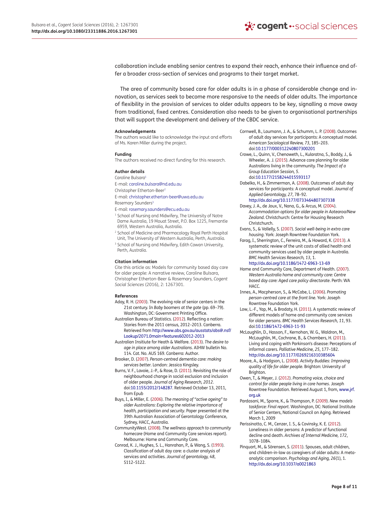collaboration include enabling senior centres to expand their reach, enhance their influence and offer a broader cross-section of services and programs to their target market.

The area of community based care for older adults is in a phase of considerable change and innovation, as services seek to become more responsive to the needs of older adults. The importance of flexibility in the provision of services to older adults appears to be key, signalling a move away from traditional, fixed centres. Consideration also needs to be given to organisational partnerships that will support the development and delivery of the CBDC service.

#### **Acknowledgements**

The authors would like to acknowledge the input and efforts of Ms. Karen Miller during the project.

#### **Funding**

The authors received no direct funding for this research.

#### **Author details**

Caroline Bulsar[a1](#page-2-1)

E-mail: [caroline.bulsara@nd.edu.au](mailto:caroline.bulsara@nd.edu.au) Christopher Etherton-Bee[r2](#page-2-1) E-mail: [christopher.etherton-beer@uwa.edu.au](mailto:christopher.etherton-beer@uwa.edu.au)

Rosemary Saunders<sup>[3](#page-2-1)</sup>

E-mail: [rosemary.saunders@ecu.edu.au](mailto:rosemary.saunders@ecu.edu.au)

- <span id="page-9-0"></span><sup>1</sup> School of Nursing and Midwifery, The University of Notre Dame Australia, 19 Mouat Street, P.O. Box 1225, Fremantle 6959, Western Australia, Australia.
- <span id="page-9-2"></span><span id="page-9-1"></span><sup>2</sup> School of Medicine and Pharmacology Royal Perth Hospital Unit, The University of Western Australia, Perth, Australia. <sup>3</sup> School of Nursing and Midwifery, Edith Cowan University, Perth, Australia.

#### **Citation information**

Cite this article as: Models for community based day care for older people: A narrative review, Caroline Bulsara, Christopher Etherton-Beer & Rosemary Saunders, *Cogent Social Sciences* (2016), 2: 1267301.

#### **References**

- <span id="page-9-21"></span>Aday, R. H. [\(2003\)](#page-7-0). The evolving role of senior centers in the 21st century. In *Baby boomers at the gate* (pp. 69–79). Washington, DC: Government Printing Office.
- <span id="page-9-12"></span>Australian Bureau of Statistics. [\(2012](#page-3-0)). Reflecting a nation: Stories from the 2011 census, 2012–2013. Canberra. Retrieved from [http://www.abs.gov.au/ausstats/abs@.nsf/](http://www.abs.gov.au/ausstats/abs@.nsf/Lookup/2071.0main+features602012-2013) [Lookup/2071.0main+features602012-2013](http://www.abs.gov.au/ausstats/abs@.nsf/Lookup/2071.0main+features602012-2013)
- <span id="page-9-3"></span>Australian Insitiute for Heath & Welfare. ([2013\)](#page-3-1). *The desire to age in place among older Australians*. AIHW bulletin No. 114. Cat. No. AUS 169. Canberra: Author.
- <span id="page-9-17"></span>Brooker, D. [\(2007\)](#page-5-0). *Person-centred dementia care: making services better*. London: Jessica Kingsley.
- <span id="page-9-13"></span>Burns, V. F., Lavoie, J.-P., & Rose, D. ([2011\)](#page-4-1). Revisiting the role of neighbourhood change in social exclusion and inclusion of older people. *Journal of Aging Research, 2012*. doi:[10.1155/2012/148287](http://dx.doi.org/10.1155/2012/148287). Retrieved October 13, 2011, from Epub
- <span id="page-9-19"></span>Buys, I., & Miller, E. ([2006\)](#page-7-1). *The meaning of "active ageing" to older Australians: Exploring the relative importance of health, participation and security*. Paper presented at the 39th Australian Association of Gerontology Conference, Sydney, HACC, Australia.
- CommunityWest. (2008). *The wellness approach to community homecare* (Home and Community Care services report). Melbourne: Home and Community Care.
- <span id="page-9-23"></span>Conrad, K. J., Hughes, S. L., Hanrahan, P., & Wang, S. [\(1993](#page-7-2)). Classification of adult day care: a cluster analysis of services and activities. *Journal of gerontology, 48*, S112–S122.
- <span id="page-9-7"></span>Cornwell, B., Laumann, J. A., & Schumm, L. P. ([2008\)](#page-3-2). Outcomes of adult day services for participants: A conceptual model. *American Sociological Review, 73*, 185–203. doi:[10.1177/000312240807300201](http://dx.doi.org/10.1177/000312240807300201)
- <span id="page-9-8"></span>Crowe, L., Quinn, V., Chenoweth, L., Kularatna, S., Boddy, J., & Wheeler, A. J. [\(2015](#page-3-3)). Advance care planning for older Australians living in the community. *The Impact of a Group Education Session, 5*. doi:[10.1177/2158244015593117](http://dx.doi.org/10.1177/2158244015593117)
- <span id="page-9-15"></span>Dabelko, H., & Zimmerman, A. [\(2008\)](#page-5-1). Outcomes of adult day services for participants: A conceptual model. *Journal of Applied Gerontology, 27*, 78–92[.](http://dx.doi.org/10.1177/0733464807307338) <http://dx.doi.org/10.1177/0733464807307338>
- <span id="page-9-9"></span>Davey, J. A., de Joux, V., Nana, G., & Arcus, M. ([2004\)](#page-3-4). *Accommodation options for older people in Aotearoa/New*
- *Zealand*. Christchurch: Centre for Housing Research Christchurch.
- <span id="page-9-16"></span>Evans, S., & Vallelly, S. [\(2007](#page-5-2)). *Social well-being in extra care housing*. York: Joseph Rowntree Foundation York.
- <span id="page-9-10"></span>Farag, I., Sherrington, C., Ferreira, M., & Howard, K. [\(2013](#page-3-5)). A systematic review of the unit costs of allied health and community services used by older p[e](http://dx.doi.org/10.1186/1472-6963-13-69)ople in Australia. *BMC Health Services Research, 13*, 1. <http://dx.doi.org/10.1186/1472-6963-13-69>
- <span id="page-9-24"></span>Home and Community Care, Department of Health. [\(2007](#page-8-0)). *Western Australia home and community care: Centre based day care: Aged care policy directorate*. Perth: WA HACC.
- <span id="page-9-14"></span>Innes, A., Macpherson, S., & McCabe, L. [\(2006](#page-4-2)). *Promoting person-centred care at the front line*. York: Joseph Rowntree Foundation York.
- <span id="page-9-11"></span>Low, L.-F., Yap, M., & Brodaty, H. ([2011](#page-3-6)). A systematic review of different models of home and community care services for older persons. *BMC Health Services Research, 11*, 93. doi:[10.1186/1472-6963-11-93](http://dx.doi.org/10.1186/1472-6963-11-93)
- <span id="page-9-4"></span>McLaughlin, D., Hasson, F., Kernohan, W. G., Waldron, M., McLaughlin, M., Cochrane, B., & Chambers, H. [\(2011](#page-3-7)). Living and coping with Parkinson's disease: Perceptions of informal carers. *Palliative Medicine, 25*, 177–182[.](http://dx.doi.org/10.1177/0269216310385604) <http://dx.doi.org/10.1177/0269216310385604>
- <span id="page-9-20"></span>Moore, A., & Hodgson, L. [\(2008](#page-7-3)). *Activity Buddies: Improving quality of life for older people*. Brighton: University of Brighton.
- <span id="page-9-18"></span>Owen, T., & Meyer, J. [\(2012](#page-6-0)). *Promoting voice, choice and control for older people living in care homes*. Joseph Rowntree Foundation. Retrieved August 1, from, [www.jrf.](http://www.jrf.org.uk) [org.uk](http://www.jrf.org.uk)
- <span id="page-9-22"></span>Pardasani, M., Sporre, K., & Thompson, P. ([2009\)](#page-7-4). *New models taskforce: Final report*. Washington, DC: National Institute of Senior Centers, National Council on Aging. Retrieved March 1, 2009
- <span id="page-9-6"></span>Perissinotto, C. M., Cenzer, I. S., & Covinsky, K. E. [\(2012](#page-3-8)). Loneliness in older persons: A predictor of functional decline and death. *Archives of Internal Medicine, 172*, 1078–1084.
- <span id="page-9-5"></span>Pinquart, M., & Sörensen, S. [\(2011](#page-3-9)). Spouses, adult children, and children-in-law as caregivers of older adults: A metaanalytic comparison. *Psychology and Aging, 26*(1), 1[.](http://dx.doi.org/10.1037/a0021863) <http://dx.doi.org/10.1037/a0021863>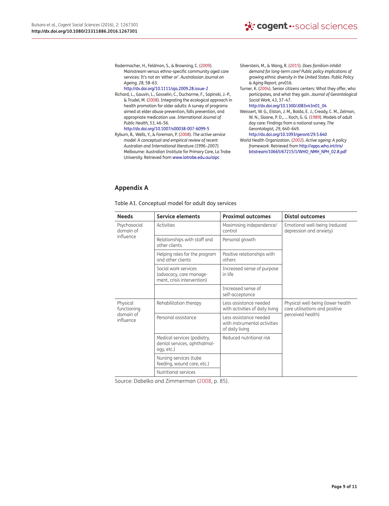<span id="page-10-6"></span>Radermacher, H., Feldman, S., & Browning, C. [\(2009](#page-8-1)). Mainstream versus ethno-specific community aged care services: It's not a[n](http://dx.doi.org/10.1111/aja.2009.28.issue-2) 'either or'. *Australasian Journal on Ageing, 28*, 58–63.

#### <http://dx.doi.org/10.1111/aja.2009.28.issue-2>

<span id="page-10-2"></span>Richard, L., Gauvin, L., Gosselin, C., Ducharme, F., Sapinski, J.-P., & Trudel, M. ([2008\)](#page-7-5). Integrating the ecological approach in health promotion for older adults: A survey of programs aimed at elder abuse prevention, falls prevention, and appropriate medication [u](http://dx.doi.org/10.1007/s00038-007-6099-5)se. *International Journal of Public Health, 53*, 46–56.

<http://dx.doi.org/10.1007/s00038-007-6099-5>

<span id="page-10-0"></span>Ryburn, B., Wells, Y., & Foreman, P. [\(2008](#page-6-1)). *The active service model: A conceptual and empirical review of recent Australian and International literature (1996–2007)*. Melbourne: Australian Institute for Primary Care, La Trobe University. Retrieved from [www.latrobe.edu.au/aipc](http://www.latrobe.edu.au/aipc)

- Silverstein, M., & Wang, R. (2015). *Does familism inhibit demand for long-term care? Public policy implications of growing ethnic diversity in the United States*. *Public Policy & Aging Report,* prv016.
- <span id="page-10-4"></span>Turner, K. ([2004\)](#page-8-2). Senior citizens centers: What they offer, who participates, and what [t](http://dx.doi.org/10.1300/J083v43n01_04)hey gain. *Journal of Gerontological Social Work, 43*, 37–47.

[http://dx.doi.org/10.1300/J083v43n01\\_04](http://dx.doi.org/10.1300/J083v43n01_04)

<span id="page-10-5"></span>Weissert, W. G., Elston, J. M., Bolda, E. J., Cready, C. M., Zelman, W. N., Sloane, P. D., … Koch, G. G. [\(1989](#page-8-3)). Models of adult day care: Findings from a n[a](http://dx.doi.org/10.1093/geront/29.5.640)tional survey. *The Gerontologist, 29*, 640–649.

<http://dx.doi.org/10.1093/geront/29.5.640>

<span id="page-10-1"></span>World Health Organization. ([2002\)](#page-6-2). *Active ageing: A policy framework*. Retrieved from [http://apps.who.int/iris/](http://apps.who.int/iris/bitstream/10665/67215/1/WHO_NMH_NPH_02.8.pdf) [bitstream/10665/67215/1/WHO\\_NMH\\_NPH\\_02.8.pdf](http://apps.who.int/iris/bitstream/10665/67215/1/WHO_NMH_NPH_02.8.pdf)

## <span id="page-10-3"></span>**Appendix A**

Table A1. Conceptual model for adult day services

| <b>Needs</b>                                      | Service elements                                                              | <b>Proximal outcomes</b>                                                  | Distal outcomes                                                                          |
|---------------------------------------------------|-------------------------------------------------------------------------------|---------------------------------------------------------------------------|------------------------------------------------------------------------------------------|
| Psychosocial<br>domain of<br>influence            | Activities                                                                    | Maximising independence/<br>control                                       | Emotional well-being (reduced<br>depression and anxiety)                                 |
|                                                   | Relationships with staff and<br>other clients                                 | Personal growth                                                           |                                                                                          |
|                                                   | Helping roles for the program<br>and other clients                            | Positive relationships with<br>others                                     |                                                                                          |
|                                                   | Social work services<br>(advocacy, care manage-<br>ment, crisis intervention) | Increased sense of purpose<br>in life                                     |                                                                                          |
|                                                   |                                                                               | Increased sense of<br>self-acceptance                                     |                                                                                          |
| Physical<br>functioning<br>domain of<br>influence | Rehabilitation therapy                                                        | Less assistance needed<br>with activities of daily living                 | Physical well-being (lower health<br>care utilisations and positive<br>perceived health) |
|                                                   | Personal assistance                                                           | Less assistance needed<br>with instrumental activities<br>of daily living |                                                                                          |
|                                                   | Medical services (podiatry,<br>dental services, ophthalmol-<br>ogy, etc.)     | Reduced nutritional risk                                                  |                                                                                          |
|                                                   | Nursing services (tube<br>feeding, wound care, etc.)                          |                                                                           |                                                                                          |
|                                                   | Nutritional services                                                          |                                                                           |                                                                                          |

Source: Dabelko and Zimmerman ([2008](#page-9-15), p. 85).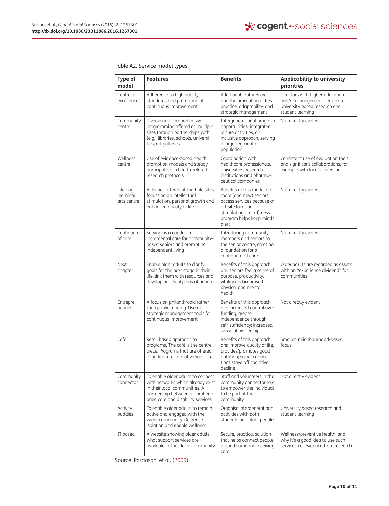### Table A2. Service model types

| <b>Type of</b><br>model              | <b>Features</b>                                                                                                                                                                 | <b>Benefits</b>                                                                                                                                                             | Applicability to university<br>priorities                                                                               |
|--------------------------------------|---------------------------------------------------------------------------------------------------------------------------------------------------------------------------------|-----------------------------------------------------------------------------------------------------------------------------------------------------------------------------|-------------------------------------------------------------------------------------------------------------------------|
| Centre of<br>excellence              | Adherence to high quality<br>standards and promotion of<br>continuous improvement                                                                                               | Additional features are<br>and the promotion of best<br>practice, adaptability, and<br>strategic management                                                                 | Directors with higher education<br>and/or management certificates-<br>university based research and<br>student learning |
| Community<br>centre                  | Diverse and comprehensive<br>programming offered at multiple<br>sites through partnerships with<br>(e.g.) libraries, schools, universi-<br>ties, art galleries                  | Intergenerational program<br>opportunities, integrated<br>leisure activities, an<br>inclusive approach, serving<br>a large segment of<br>population                         | Not directly evident                                                                                                    |
| Wellness<br>centre                   | Use of evidence-based health<br>promotion models and steady<br>participation in health-related<br>research protocols                                                            | Coordination with<br>healthcare professionals,<br>universities, research<br>institutions and pharma-<br>ceutical companies                                                  | Consistent use of evaluation tools<br>and significant collaborations, for<br>example with local universities            |
| Lifelong<br>learning/<br>arts centre | Activities offered at multiple sites<br>focussing on intellectual<br>stimulation, personal growth and<br>enhanced quality of life                                               | Benefits of this model are:<br>more (and new) seniors<br>access services because of<br>off-site location:<br>stimulating brain-fitness<br>program helps keep minds<br>alert | Not directly evident                                                                                                    |
| Continuum<br>of care                 | Serving as a conduit to<br>incremental care for community-<br>based seniors and promoting<br>independent living                                                                 | Introducing community<br>members and seniors to<br>the senior centre; creating<br>a foundation for a<br>continuum of care                                                   | Not directly evident                                                                                                    |
| Next<br>chapter                      | Enable older adults to clarify<br>goals for the next stage in their<br>life, link them with resources and<br>develop practical plans of action                                  | Benefits of this approach<br>are: seniors feel a sense of<br>purpose, productivity,<br>vitality and improved<br>physical and mental<br>health                               | Older adults are regarded as assets<br>with an "experience dividend" for<br>communities                                 |
| Entrepre-<br>neurial                 | A focus on philanthropic rather<br>than public funding. Use of<br>strategic management tools for<br>continuous improvement                                                      | Benefits of this approach<br>are: increased control over<br>funding; greater<br>independence through<br>self-sufficiency; increased<br>sense of ownership                   | Not directly evident                                                                                                    |
| Café                                 | Retail based approach to<br>programs. The café is the centre<br>piece. Programs that are offered<br>in addition to café at various sites                                        | Benefits of this approach<br>are: improve quality of life,<br>provides/promotes good<br>nutrition; social connec-<br>tions stave off cognitive<br>decline                   | Smaller, neighbourhood-based<br>focus                                                                                   |
| Community<br>connector               | To enable older adults to connect<br>with networks which already exist<br>in their local communities. A<br>partnership between a number of<br>aged care and disability services | Staff and volunteers in the<br>community connector role<br>to empower the individual<br>to be part of the<br>community                                                      | Not directly evident                                                                                                    |
| Activity<br>buddies                  | To enable older adults to remain<br>active and engaged with the<br>wider community. Decrease<br>isolation and enable wellness                                                   | Organise intergenerational<br>activities with both<br>students and older people                                                                                             | University based research and<br>student learning                                                                       |
| IT based                             | A website showing older adults<br>what support services are<br>available in their local community                                                                               | Secure, practical solution<br>that helps connect people<br>around someone receiving<br>care                                                                                 | Wellness/preventive health, and<br>why it's a good idea to use such<br>services i.e. evidence from research             |

Source: Pardasani et al. [\(2009\)](#page-9-22).